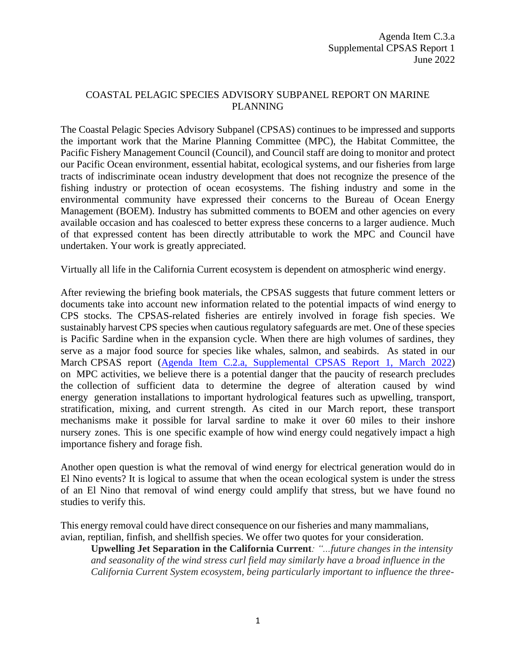## COASTAL PELAGIC SPECIES ADVISORY SUBPANEL REPORT ON MARINE PLANNING

The Coastal Pelagic Species Advisory Subpanel (CPSAS) continues to be impressed and supports the important work that the Marine Planning Committee (MPC), the Habitat Committee, the Pacific Fishery Management Council (Council), and Council staff are doing to monitor and protect our Pacific Ocean environment, essential habitat, ecological systems, and our fisheries from large tracts of indiscriminate ocean industry development that does not recognize the presence of the fishing industry or protection of ocean ecosystems. The fishing industry and some in the environmental community have expressed their concerns to the Bureau of Ocean Energy Management (BOEM). Industry has submitted comments to BOEM and other agencies on every available occasion and has coalesced to better express these concerns to a larger audience. Much of that expressed content has been directly attributable to work the MPC and Council have undertaken. Your work is greatly appreciated.

Virtually all life in the California Current ecosystem is dependent on atmospheric wind energy.

After reviewing the briefing book materials, the CPSAS suggests that future comment letters or documents take into account new information related to the potential impacts of wind energy to CPS stocks. The CPSAS-related fisheries are entirely involved in forage fish species. We sustainably harvest CPS species when cautious regulatory safeguards are met. One of these species is Pacific Sardine when in the expansion cycle. When there are high volumes of sardines, they serve as a major food source for species like whales, salmon, and seabirds. As stated in our March CPSAS report [\(Agenda Item C.2.a, Supplemental CPSAS Report 1, March 2022](https://www.pcouncil.org/documents/2022/03/c-2-a-supplemental-cpsas-report-1-3.pdf/)) on MPC activities, we believe there is a potential danger that the paucity of research precludes the collection of sufficient data to determine the degree of alteration caused by wind energy generation installations to important hydrological features such as upwelling, transport, stratification, mixing, and current strength. As cited in our March report, these transport mechanisms make it possible for larval sardine to make it over 60 miles to their inshore nursery zones. This is one specific example of how wind energy could negatively impact a high importance fishery and forage fish.

Another open question is what the removal of wind energy for electrical generation would do in El Nino events? It is logical to assume that when the ocean ecological system is under the stress of an El Nino that removal of wind energy could amplify that stress, but we have found no studies to verify this.

This energy removal could have direct consequence on our fisheries and many mammalians, avian, reptilian, finfish, and shellfish species. We offer two quotes for your consideration.

**Upwelling Jet Separation in the California Current***: "...future changes in the intensity and seasonality of the wind stress curl field may similarly have a broad influence in the California Current System ecosystem, being particularly important to influence the three-*